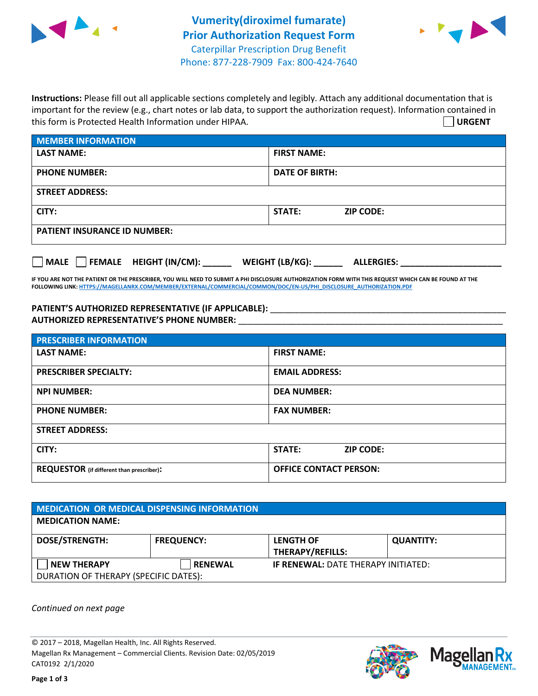



**Instructions:** Please fill out all applicable sections completely and legibly. Attach any additional documentation that is important for the review (e.g., chart notes or lab data, to support the authorization request). Information contained in this form is Protected Health Information under HIPAA. **URGENT**

| <b>MEMBER INFORMATION</b>             |                                      |  |  |  |
|---------------------------------------|--------------------------------------|--|--|--|
| <b>LAST NAME:</b>                     | <b>FIRST NAME:</b>                   |  |  |  |
| <b>PHONE NUMBER:</b>                  | <b>DATE OF BIRTH:</b>                |  |  |  |
| <b>STREET ADDRESS:</b>                |                                      |  |  |  |
| CITY:                                 | STATE:<br><b>ZIP CODE:</b>           |  |  |  |
| <b>PATIENT INSURANCE ID NUMBER:</b>   |                                      |  |  |  |
| FEMALE HEIGHT (IN/CM):<br><b>MALE</b> | WEIGHT (LB/KG):<br><b>ALLERGIES:</b> |  |  |  |

**IF YOU ARE NOT THE PATIENT OR THE PRESCRIBER, YOU WILL NEED TO SUBMIT A PHI DISCLOSURE AUTHORIZATION FORM WITH THIS REQUEST WHICH CAN BE FOUND AT THE FOLLOWING LINK[: HTTPS://MAGELLANRX.COM/MEMBER/EXTERNAL/COMMERCIAL/COMMON/DOC/EN-US/PHI\\_DISCLOSURE\\_AUTHORIZATION.PDF](https://magellanrx.com/member/external/commercial/common/doc/en-us/PHI_Disclosure_Authorization.pdf)**

PATIENT'S AUTHORIZED REPRESENTATIVE (IF APPLICABLE): \_\_\_\_\_\_\_\_\_\_\_\_\_\_\_\_\_\_\_\_\_\_\_\_\_\_\_ **AUTHORIZED REPRESENTATIVE'S PHONE NUMBER:** \_\_\_\_\_\_\_\_\_\_\_\_\_\_\_\_\_\_\_\_\_\_\_\_\_\_\_\_\_\_\_\_\_\_\_\_\_\_\_\_\_\_\_\_\_\_\_\_\_\_\_\_\_\_\_

| <b>PRESCRIBER INFORMATION</b>             |                               |  |  |  |
|-------------------------------------------|-------------------------------|--|--|--|
| <b>LAST NAME:</b>                         | <b>FIRST NAME:</b>            |  |  |  |
| <b>PRESCRIBER SPECIALTY:</b>              | <b>EMAIL ADDRESS:</b>         |  |  |  |
| <b>NPI NUMBER:</b>                        | <b>DEA NUMBER:</b>            |  |  |  |
| <b>PHONE NUMBER:</b>                      | <b>FAX NUMBER:</b>            |  |  |  |
| <b>STREET ADDRESS:</b>                    |                               |  |  |  |
| CITY:                                     | STATE:<br><b>ZIP CODE:</b>    |  |  |  |
| REQUESTOR (if different than prescriber): | <b>OFFICE CONTACT PERSON:</b> |  |  |  |

| <b>MEDICATION OR MEDICAL DISPENSING INFORMATION</b> |                   |                                            |                  |  |  |
|-----------------------------------------------------|-------------------|--------------------------------------------|------------------|--|--|
| <b>MEDICATION NAME:</b>                             |                   |                                            |                  |  |  |
| <b>DOSE/STRENGTH:</b>                               | <b>FREQUENCY:</b> | <b>LENGTH OF</b>                           | <b>QUANTITY:</b> |  |  |
|                                                     |                   | <b>THERAPY/REFILLS:</b>                    |                  |  |  |
| <b>NEW THERAPY</b>                                  | <b>RENEWAL</b>    | <b>IF RENEWAL: DATE THERAPY INITIATED:</b> |                  |  |  |
| DURATION OF THERAPY (SPECIFIC DATES):               |                   |                                            |                  |  |  |

*Continued on next page*

© 2017 – 2018, Magellan Health, Inc. All Rights Reserved. Magellan Rx Management – Commercial Clients. Revision Date: 02/05/2019 CAT0192 2/1/2020



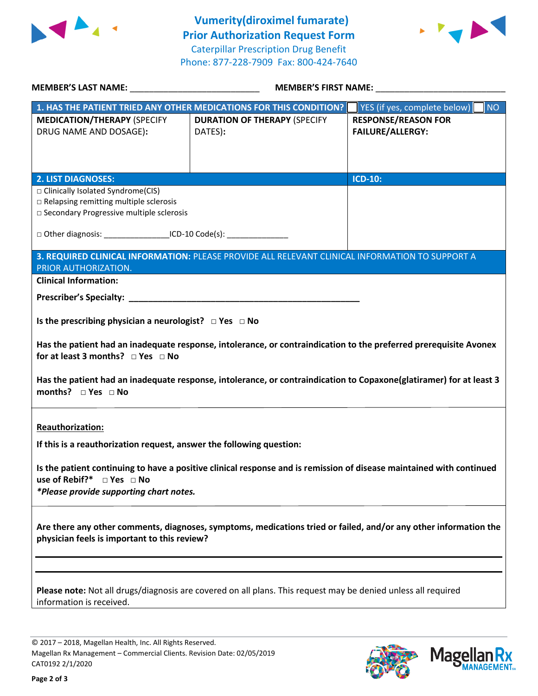



| <b>MEMBER'S LAST NAME:</b> NAME                                                                                                                                                                                                                                                         | <b>MEMBER'S FIRST NAME:</b>                                                                     |                                                          |  |  |
|-----------------------------------------------------------------------------------------------------------------------------------------------------------------------------------------------------------------------------------------------------------------------------------------|-------------------------------------------------------------------------------------------------|----------------------------------------------------------|--|--|
|                                                                                                                                                                                                                                                                                         | 1. HAS THE PATIENT TRIED ANY OTHER MEDICATIONS FOR THIS CONDITION?                              | $\overline{\mathsf{NO}}$<br>YES (if yes, complete below) |  |  |
| <b>MEDICATION/THERAPY (SPECIFY</b><br>DRUG NAME AND DOSAGE):                                                                                                                                                                                                                            | <b>DURATION OF THERAPY (SPECIFY</b><br>DATES):                                                  | <b>RESPONSE/REASON FOR</b><br><b>FAILURE/ALLERGY:</b>    |  |  |
|                                                                                                                                                                                                                                                                                         |                                                                                                 |                                                          |  |  |
| <b>2. LIST DIAGNOSES:</b>                                                                                                                                                                                                                                                               |                                                                                                 | <b>ICD-10:</b>                                           |  |  |
| □ Clinically Isolated Syndrome(CIS)<br>□ Relapsing remitting multiple sclerosis<br>□ Secondary Progressive multiple sclerosis                                                                                                                                                           |                                                                                                 |                                                          |  |  |
|                                                                                                                                                                                                                                                                                         | □ Other diagnosis: ____________________ICD-10 Code(s): ________________________                 |                                                          |  |  |
|                                                                                                                                                                                                                                                                                         | 3. REQUIRED CLINICAL INFORMATION: PLEASE PROVIDE ALL RELEVANT CLINICAL INFORMATION TO SUPPORT A |                                                          |  |  |
| PRIOR AUTHORIZATION.                                                                                                                                                                                                                                                                    |                                                                                                 |                                                          |  |  |
| <b>Clinical Information:</b>                                                                                                                                                                                                                                                            |                                                                                                 |                                                          |  |  |
|                                                                                                                                                                                                                                                                                         |                                                                                                 |                                                          |  |  |
| Is the prescribing physician a neurologist? $\Box$ Yes $\Box$ No                                                                                                                                                                                                                        |                                                                                                 |                                                          |  |  |
| Has the patient had an inadequate response, intolerance, or contraindication to the preferred prerequisite Avonex<br>for at least 3 months? $\Box$ Yes $\Box$ No<br>Has the patient had an inadequate response, intolerance, or contraindication to Copaxone(glatiramer) for at least 3 |                                                                                                 |                                                          |  |  |
| months? $\Box$ Yes $\Box$ No                                                                                                                                                                                                                                                            |                                                                                                 |                                                          |  |  |
| <b>Reauthorization:</b><br>If this is a reauthorization request, answer the following question:                                                                                                                                                                                         |                                                                                                 |                                                          |  |  |
| Is the patient continuing to have a positive clinical response and is remission of disease maintained with continued<br>use of Rebif?* $\Box$ Yes $\Box$ No<br>*Please provide supporting chart notes.                                                                                  |                                                                                                 |                                                          |  |  |
| Are there any other comments, diagnoses, symptoms, medications tried or failed, and/or any other information the<br>physician feels is important to this review?                                                                                                                        |                                                                                                 |                                                          |  |  |
|                                                                                                                                                                                                                                                                                         |                                                                                                 |                                                          |  |  |
| Please note: Not all drugs/diagnosis are covered on all plans. This request may be denied unless all required<br>information is received.                                                                                                                                               |                                                                                                 |                                                          |  |  |